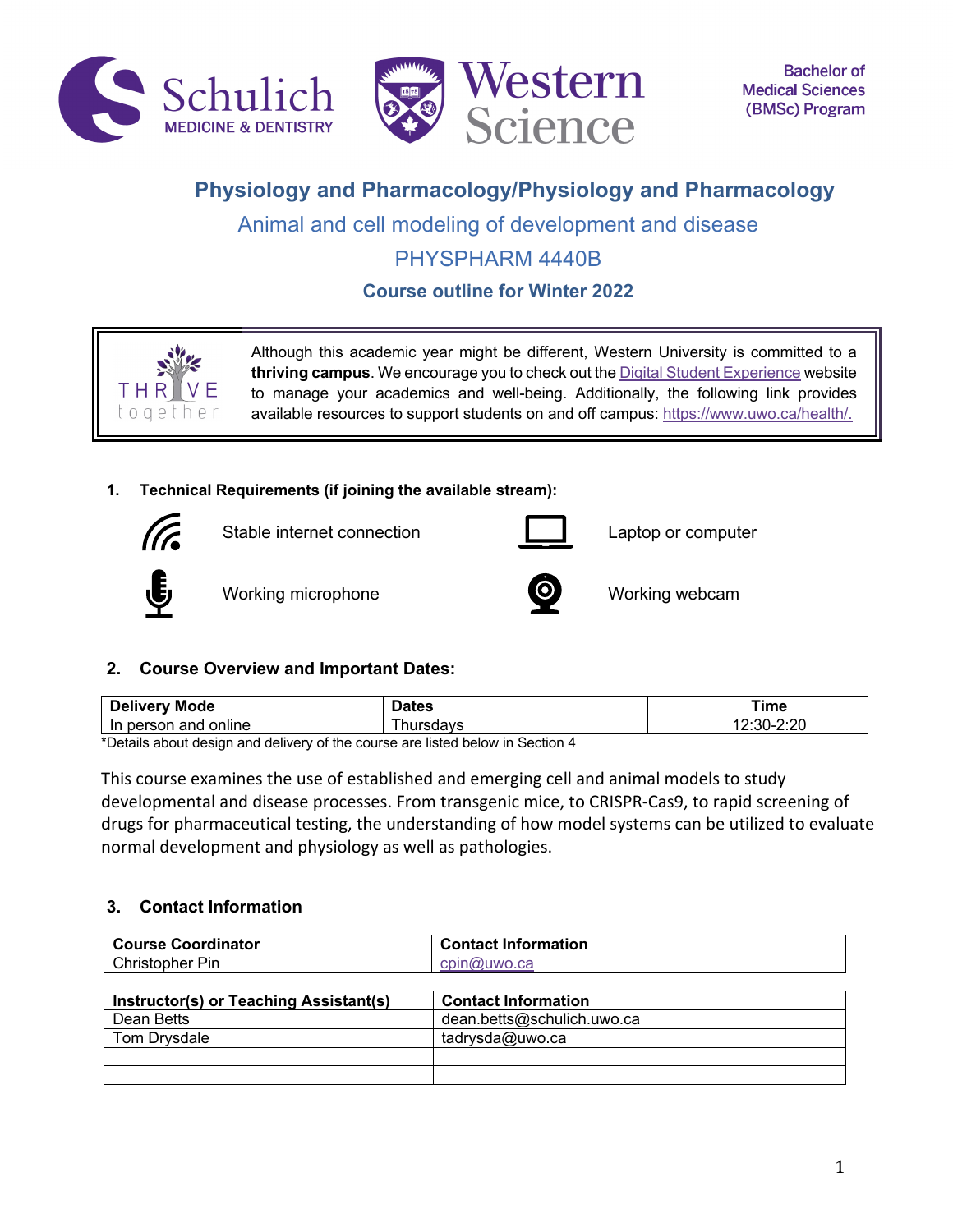



# **Physiology and Pharmacology/Physiology and Pharmacology**

Animal and cell modeling of development and disease

## PHYSPHARM 4440B

**Course outline for Winter 2022**



Although this academic year might be different, Western University is committed to a **thriving campus**. We encourage you to check out the Digital Student Experience website to manage your academics and well-being. Additionally, the following link provides available resources to support students on and off campus: https://www.uwo.ca/health/.

### **1. Technical Requirements (if joining the available stream):**



Stable internet connection **Laptop** Captop or computer





Working microphone **Working webcam** 



### **2. Course Overview and Important Dates:**

| <b>Deliver</b><br>Mode<br>M0               | alca | ⊺ime                 |
|--------------------------------------------|------|----------------------|
| rson؛<br>online<br>anc<br><u>ın</u><br>per | --   | $\sim$ $\sim$<br>י י |

\*Details about design and delivery of the course are listed below in Section 4

This course examines the use of established and emerging cell and animal models to study developmental and disease processes. From transgenic mice, to CRISPR-Cas9, to rapid screening of drugs for pharmaceutical testing, the understanding of how model systems can be utilized to evaluate normal development and physiology as well as pathologies.

### **3. Contact Information**

| <b>Course Coordinator</b>              | <b>Contact Information</b> |
|----------------------------------------|----------------------------|
| Christopher Pin                        | cpin@uwo.ca                |
|                                        |                            |
| Instructor(s) or Teaching Assistant(s) | <b>Contact Information</b> |
| Dean Betts                             | dean.betts@schulich.uwo.ca |
| Tom Drysdale                           | tadrysda@uwo.ca            |
|                                        |                            |
|                                        |                            |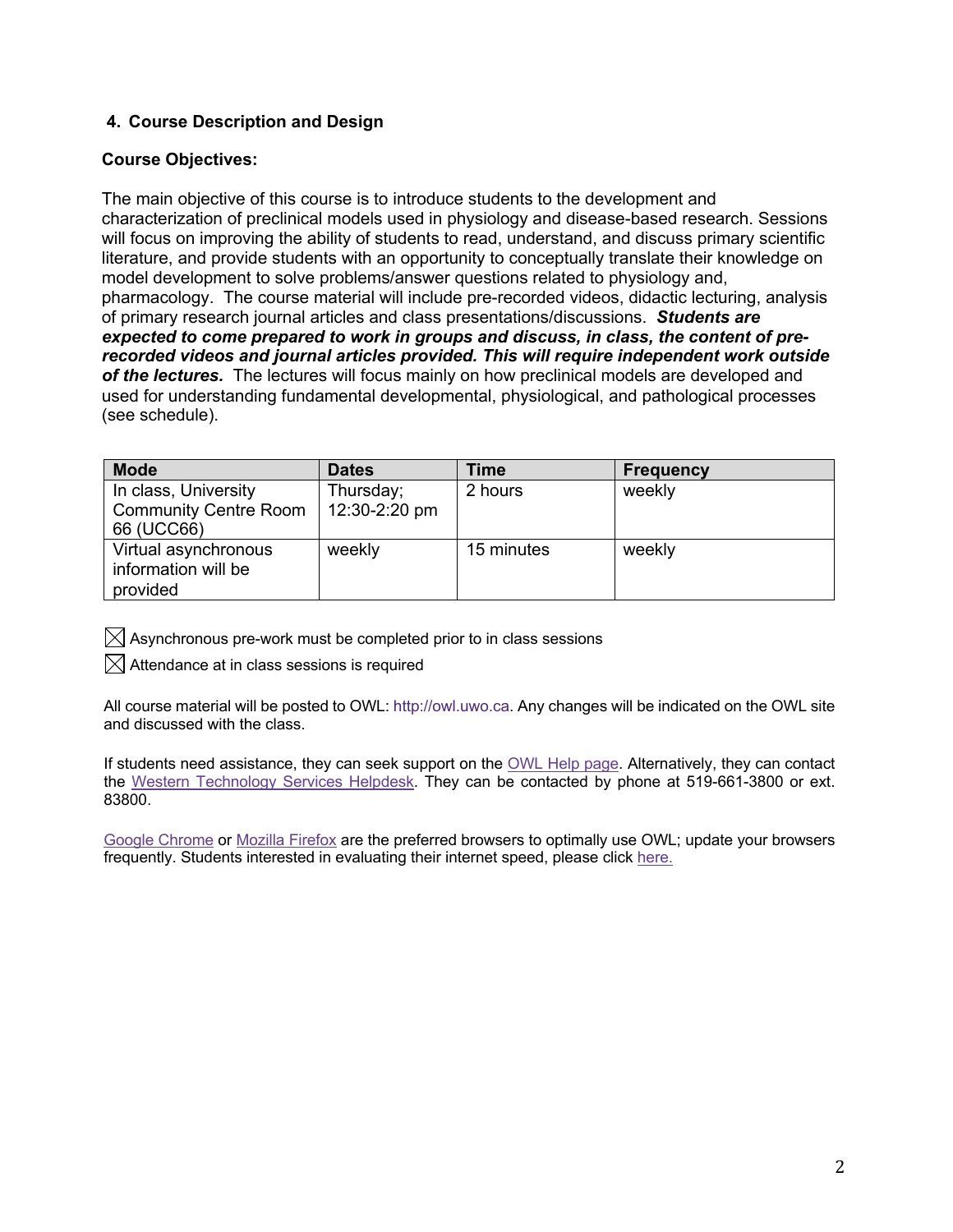### **4. Course Description and Design**

### **Course Objectives:**

The main objective of this course is to introduce students to the development and characterization of preclinical models used in physiology and disease-based research. Sessions will focus on improving the ability of students to read, understand, and discuss primary scientific literature, and provide students with an opportunity to conceptually translate their knowledge on model development to solve problems/answer questions related to physiology and, pharmacology. The course material will include pre-recorded videos, didactic lecturing, analysis of primary research journal articles and class presentations/discussions. *Students are expected to come prepared to work in groups and discuss, in class, the content of prerecorded videos and journal articles provided. This will require independent work outside of the lectures.* The lectures will focus mainly on how preclinical models are developed and used for understanding fundamental developmental, physiological, and pathological processes (see schedule).

| <b>Mode</b>                                           | <b>Dates</b>  | <b>Time</b> | <b>Frequency</b> |
|-------------------------------------------------------|---------------|-------------|------------------|
| In class, University                                  | Thursday;     | 2 hours     | weekly           |
| <b>Community Centre Room</b><br>66 (UCC66)            | 12:30-2:20 pm |             |                  |
| Virtual asynchronous<br>weekly<br>information will be |               | 15 minutes  | weekly           |
| provided                                              |               |             |                  |

 $\boxtimes$  Asynchronous pre-work must be completed prior to in class sessions

 $\boxtimes$  Attendance at in class sessions is required

All course material will be posted to OWL: http://owl.uwo.ca. Any changes will be indicated on the OWL site and discussed with the class.

If students need assistance, they can seek support on the OWL Help page. Alternatively, they can contact the Western Technology Services Helpdesk. They can be contacted by phone at 519-661-3800 or ext. 83800.

Google Chrome or Mozilla Firefox are the preferred browsers to optimally use OWL; update your browsers frequently. Students interested in evaluating their internet speed, please click here.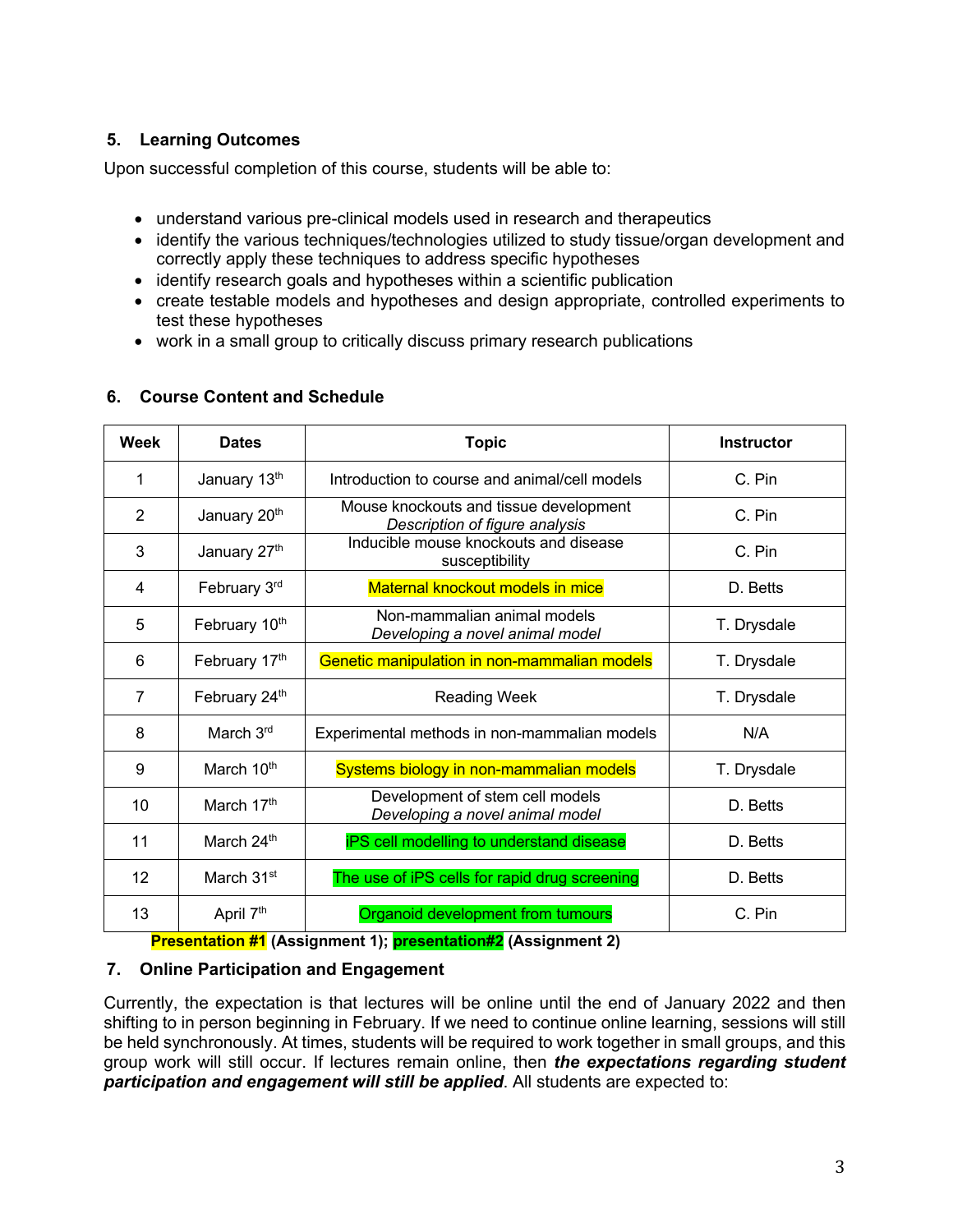## **5. Learning Outcomes**

Upon successful completion of this course, students will be able to:

- understand various pre-clinical models used in research and therapeutics
- identify the various techniques/technologies utilized to study tissue/organ development and correctly apply these techniques to address specific hypotheses
- identify research goals and hypotheses within a scientific publication
- create testable models and hypotheses and design appropriate, controlled experiments to test these hypotheses
- work in a small group to critically discuss primary research publications

### **6. Course Content and Schedule**

| Week | <b>Dates</b>           | <b>Topic</b>                                                             | <b>Instructor</b> |
|------|------------------------|--------------------------------------------------------------------------|-------------------|
| 1    | January 13th           | Introduction to course and animal/cell models                            | C. Pin            |
| 2    | January 20th           | Mouse knockouts and tissue development<br>Description of figure analysis | C. Pin            |
| 3    | January 27th           | Inducible mouse knockouts and disease<br>susceptibility                  | C. Pin            |
| 4    | February 3rd           | Maternal knockout models in mice                                         | D. Betts          |
| 5    | February 10th          | Non-mammalian animal models<br>Developing a novel animal model           | T. Drysdale       |
| 6    | February 17th          | Genetic manipulation in non-mammalian models                             | T. Drysdale       |
| 7    | February 24th          | <b>Reading Week</b>                                                      | T. Drysdale       |
| 8    | March 3rd              | Experimental methods in non-mammalian models                             | N/A               |
| 9    | March 10 <sup>th</sup> | Systems biology in non-mammalian models                                  | T. Drysdale       |
| 10   | March 17 <sup>th</sup> | Development of stem cell models<br>Developing a novel animal model       | D. Betts          |
| 11   | March 24th             | iPS cell modelling to understand disease                                 | D. Betts          |
| 12   | March 31 <sup>st</sup> | The use of iPS cells for rapid drug screening                            | D. Betts          |
| 13   | April 7 <sup>th</sup>  | Organoid development from tumours                                        | C. Pin            |

**Presentation #1 (Assignment 1); presentation#2 (Assignment 2)**

### **7. Online Participation and Engagement**

Currently, the expectation is that lectures will be online until the end of January 2022 and then shifting to in person beginning in February. If we need to continue online learning, sessions will still be held synchronously. At times, students will be required to work together in small groups, and this group work will still occur. If lectures remain online, then *the expectations regarding student participation and engagement will still be applied*. All students are expected to: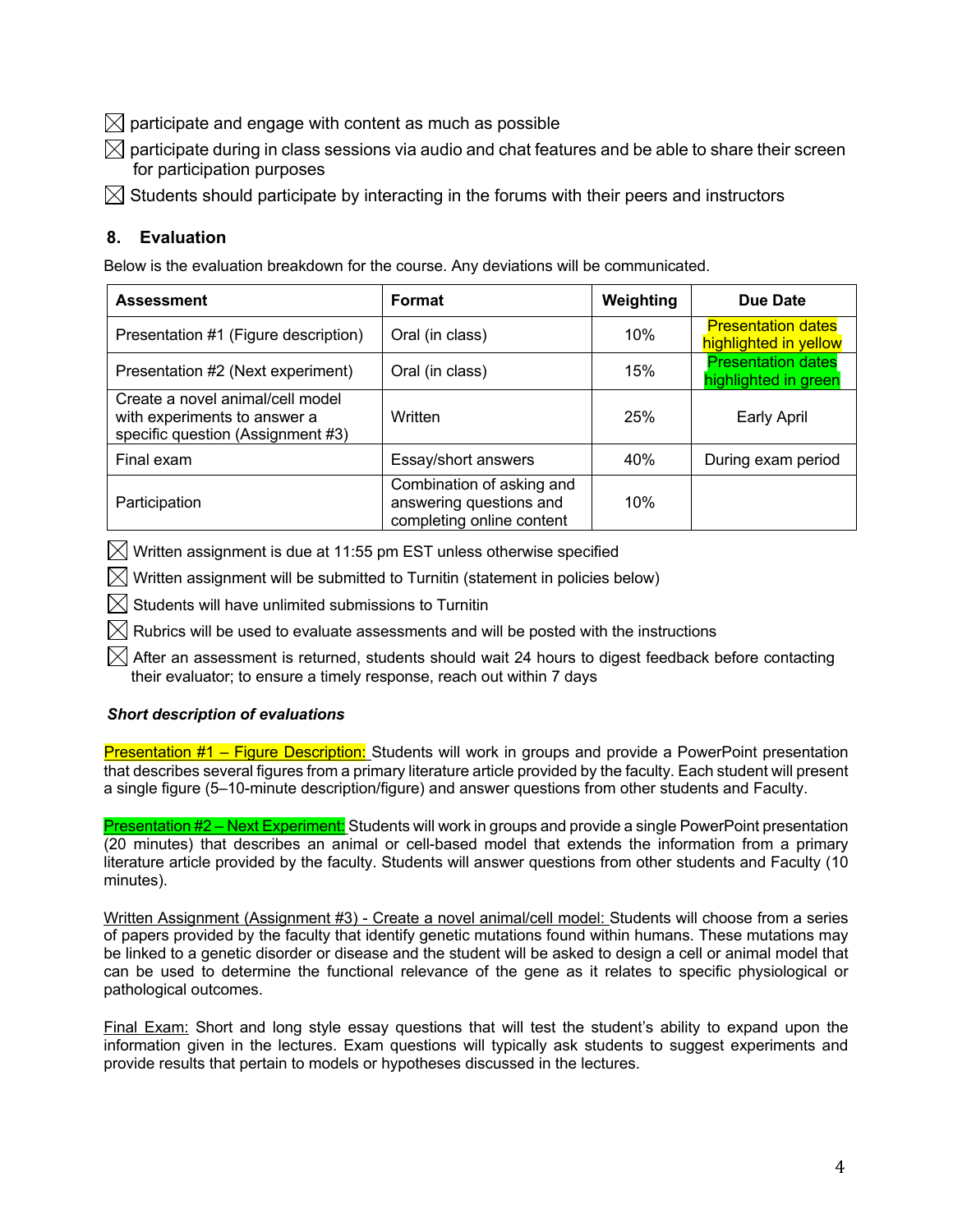$\boxtimes$  participate and engage with content as much as possible

- $\boxtimes$  participate during in class sessions via audio and chat features and be able to share their screen for participation purposes
- $\boxtimes$  Students should participate by interacting in the forums with their peers and instructors

### **8. Evaluation**

Below is the evaluation breakdown for the course. Any deviations will be communicated.

| <b>Assessment</b>                                                                                     | Format                                                                            | Weighting | Due Date                                           |
|-------------------------------------------------------------------------------------------------------|-----------------------------------------------------------------------------------|-----------|----------------------------------------------------|
| Presentation #1 (Figure description)                                                                  | Oral (in class)                                                                   | 10%       | <b>Presentation dates</b><br>highlighted in yellow |
| Presentation #2 (Next experiment)                                                                     | Oral (in class)                                                                   | 15%       | <b>Presentation dates</b><br>highlighted in green  |
| Create a novel animal/cell model<br>with experiments to answer a<br>specific question (Assignment #3) | Written                                                                           | 25%       | Early April                                        |
| Final exam                                                                                            | Essay/short answers                                                               | 40%       | During exam period                                 |
| Participation                                                                                         | Combination of asking and<br>answering questions and<br>completing online content | 10%       |                                                    |

 $\boxtimes$  Written assignment is due at 11:55 pm EST unless otherwise specified

 $\boxtimes$  Written assignment will be submitted to Turnitin (statement in policies below)

 $\boxtimes$  Students will have unlimited submissions to Turnitin

 $\boxtimes$  Rubrics will be used to evaluate assessments and will be posted with the instructions

 $\boxtimes$  After an assessment is returned, students should wait 24 hours to digest feedback before contacting their evaluator; to ensure a timely response, reach out within 7 days

### *Short description of evaluations*

Presentation #1 – Figure Description: Students will work in groups and provide a PowerPoint presentation that describes several figures from a primary literature article provided by the faculty. Each student will present a single figure (5–10-minute description/figure) and answer questions from other students and Faculty.

Presentation #2 – Next Experiment: Students will work in groups and provide a single PowerPoint presentation (20 minutes) that describes an animal or cell-based model that extends the information from a primary literature article provided by the faculty. Students will answer questions from other students and Faculty (10 minutes).

Written Assignment (Assignment #3) - Create a novel animal/cell model: Students will choose from a series of papers provided by the faculty that identify genetic mutations found within humans. These mutations may be linked to a genetic disorder or disease and the student will be asked to design a cell or animal model that can be used to determine the functional relevance of the gene as it relates to specific physiological or pathological outcomes.

Final Exam: Short and long style essay questions that will test the student's ability to expand upon the information given in the lectures. Exam questions will typically ask students to suggest experiments and provide results that pertain to models or hypotheses discussed in the lectures.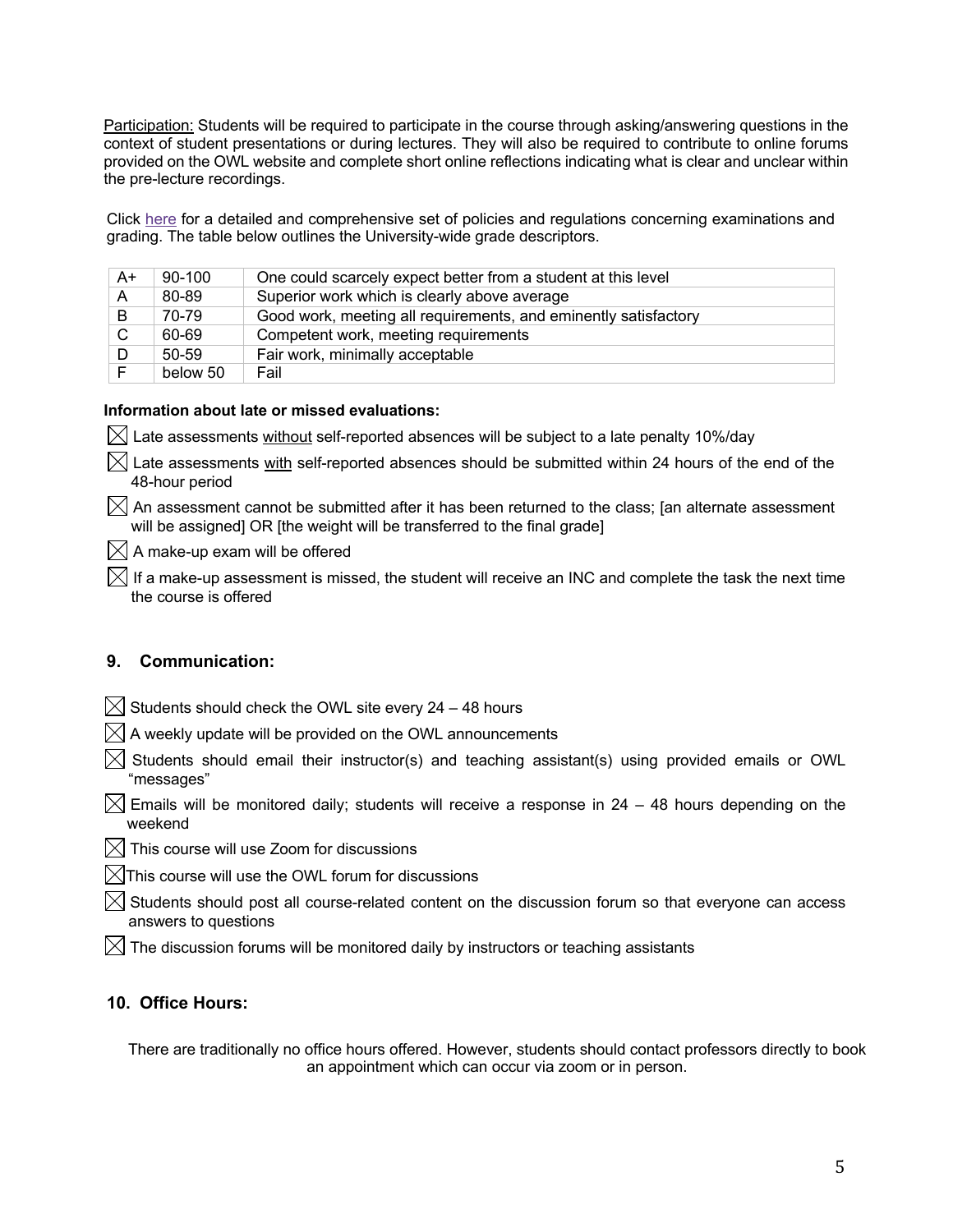Participation: Students will be required to participate in the course through asking/answering questions in the context of student presentations or during lectures. They will also be required to contribute to online forums provided on the OWL website and complete short online reflections indicating what is clear and unclear within the pre-lecture recordings.

Click here for a detailed and comprehensive set of policies and regulations concerning examinations and grading. The table below outlines the University-wide grade descriptors.

| A+ | 90-100   | One could scarcely expect better from a student at this level   |
|----|----------|-----------------------------------------------------------------|
| A  | 80-89    | Superior work which is clearly above average                    |
| B  | 70-79    | Good work, meeting all requirements, and eminently satisfactory |
| C  | 60-69    | Competent work, meeting requirements                            |
| D  | 50-59    | Fair work, minimally acceptable                                 |
|    | below 50 | Fail                                                            |

### **Information about late or missed evaluations:**

 $\boxtimes$  Late assessments without self-reported absences will be subject to a late penalty 10%/day

 $\boxtimes$  Late assessments with self-reported absences should be submitted within 24 hours of the end of the 48-hour period

 $\boxtimes$  An assessment cannot be submitted after it has been returned to the class; [an alternate assessment will be assigned] OR [the weight will be transferred to the final grade]

 $\boxtimes$  A make-up exam will be offered

 $\boxtimes$  If a make-up assessment is missed, the student will receive an INC and complete the task the next time the course is offered

### **9. Communication:**

- $\boxtimes$  Students should check the OWL site every 24 48 hours
- $\boxtimes$  A weekly update will be provided on the OWL announcements
- $\boxtimes$  Students should email their instructor(s) and teaching assistant(s) using provided emails or OWL "messages"
- $\bowtie$  Emails will be monitored daily; students will receive a response in 24 48 hours depending on the weekend
- $\boxtimes$  This course will use Zoom for discussions
- $\boxtimes$ This course will use the OWL forum for discussions
- $\boxtimes$  Students should post all course-related content on the discussion forum so that everyone can access answers to questions
- $\boxtimes$  The discussion forums will be monitored daily by instructors or teaching assistants

### **10. Office Hours:**

There are traditionally no office hours offered. However, students should contact professors directly to book an appointment which can occur via zoom or in person.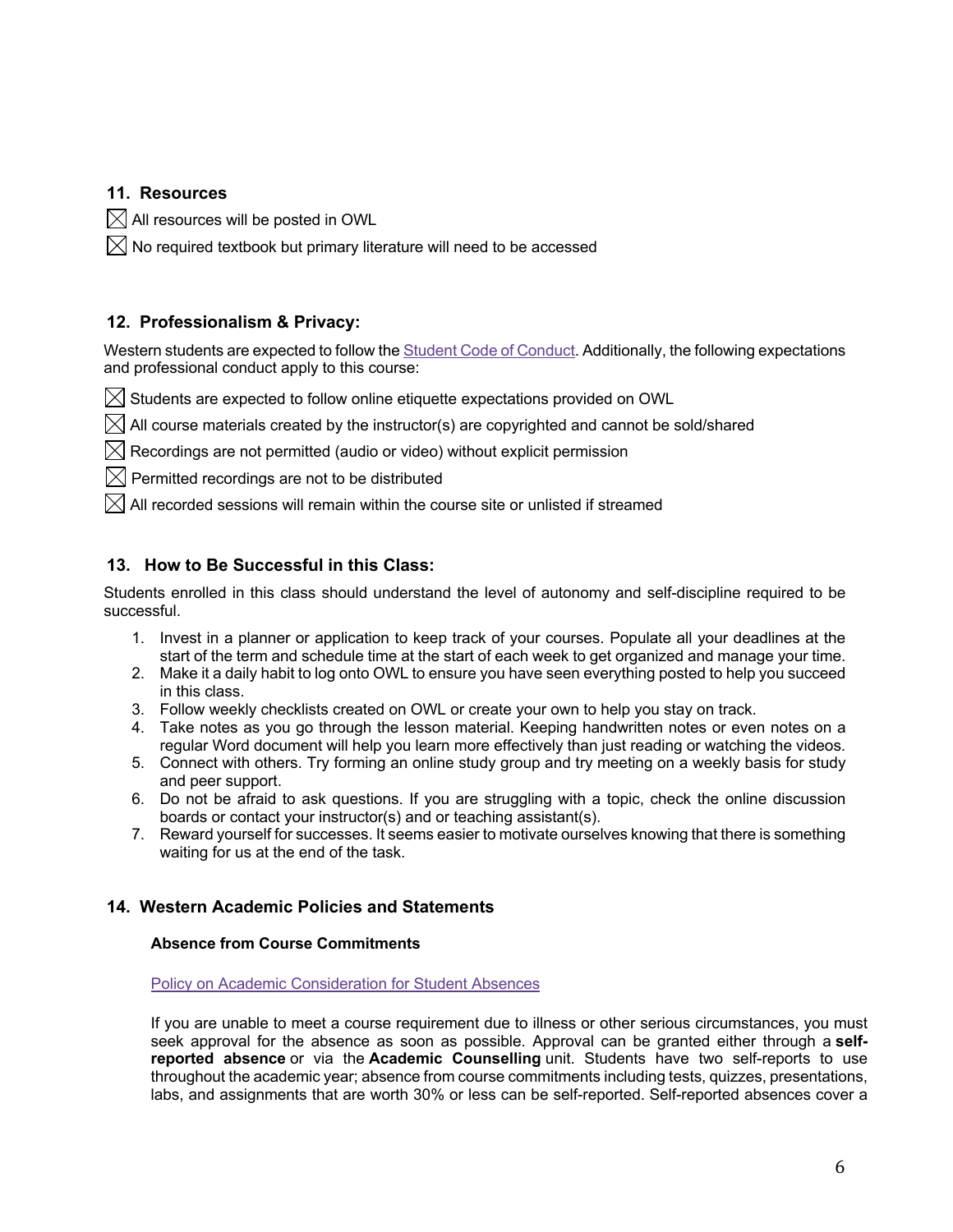### **11. Resources**

 $\boxtimes$  All resources will be posted in OWL

 $\boxtimes$  No required textbook but primary literature will need to be accessed

### **12. Professionalism & Privacy:**

Western students are expected to follow the **Student Code of Conduct**. Additionally, the following expectations and professional conduct apply to this course:

 $\boxtimes$  Students are expected to follow online etiquette expectations provided on OWL

 $\boxtimes$  All course materials created by the instructor(s) are copyrighted and cannot be sold/shared

 $\boxtimes$  Recordings are not permitted (audio or video) without explicit permission

 $\boxtimes$  Permitted recordings are not to be distributed

 $\boxtimes$  All recorded sessions will remain within the course site or unlisted if streamed

### **13. How to Be Successful in this Class:**

Students enrolled in this class should understand the level of autonomy and self-discipline required to be successful.

- 1. Invest in a planner or application to keep track of your courses. Populate all your deadlines at the start of the term and schedule time at the start of each week to get organized and manage your time.
- 2. Make it a daily habit to log onto OWL to ensure you have seen everything posted to help you succeed in this class.
- 3. Follow weekly checklists created on OWL or create your own to help you stay on track.
- 4. Take notes as you go through the lesson material. Keeping handwritten notes or even notes on a regular Word document will help you learn more effectively than just reading or watching the videos.
- 5. Connect with others. Try forming an online study group and try meeting on a weekly basis for study and peer support.
- 6. Do not be afraid to ask questions. If you are struggling with a topic, check the online discussion boards or contact your instructor(s) and or teaching assistant(s).
- 7. Reward yourself for successes. It seems easier to motivate ourselves knowing that there is something waiting for us at the end of the task.

### **14. Western Academic Policies and Statements**

### **Absence from Course Commitments**

Policy on Academic Consideration for Student Absences

If you are unable to meet a course requirement due to illness or other serious circumstances, you must seek approval for the absence as soon as possible. Approval can be granted either through a **selfreported absence** or via the **Academic Counselling** unit. Students have two self-reports to use throughout the academic year; absence from course commitments including tests, quizzes, presentations, labs, and assignments that are worth 30% or less can be self-reported. Self-reported absences cover a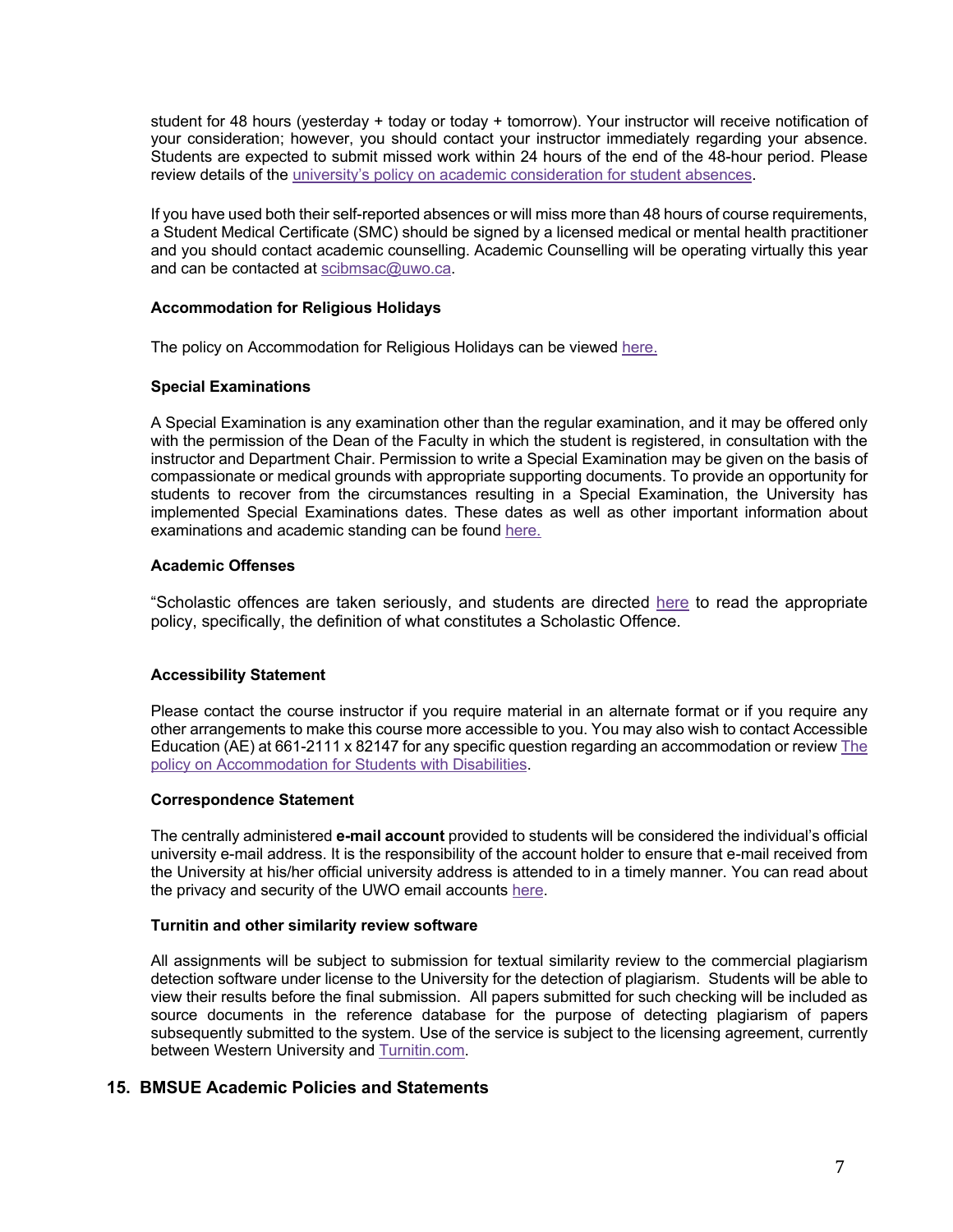student for 48 hours (yesterday + today or today + tomorrow). Your instructor will receive notification of your consideration; however, you should contact your instructor immediately regarding your absence. Students are expected to submit missed work within 24 hours of the end of the 48-hour period. Please review details of the university's policy on academic consideration for student absences.

If you have used both their self-reported absences or will miss more than 48 hours of course requirements, a Student Medical Certificate (SMC) should be signed by a licensed medical or mental health practitioner and you should contact academic counselling. Academic Counselling will be operating virtually this year and can be contacted at scibmsac@uwo.ca.

#### **Accommodation for Religious Holidays**

The policy on Accommodation for Religious Holidays can be viewed here.

#### **Special Examinations**

A Special Examination is any examination other than the regular examination, and it may be offered only with the permission of the Dean of the Faculty in which the student is registered, in consultation with the instructor and Department Chair. Permission to write a Special Examination may be given on the basis of compassionate or medical grounds with appropriate supporting documents. To provide an opportunity for students to recover from the circumstances resulting in a Special Examination, the University has implemented Special Examinations dates. These dates as well as other important information about examinations and academic standing can be found here.

#### **Academic Offenses**

"Scholastic offences are taken seriously, and students are directed here to read the appropriate policy, specifically, the definition of what constitutes a Scholastic Offence.

### **Accessibility Statement**

Please contact the course instructor if you require material in an alternate format or if you require any other arrangements to make this course more accessible to you. You may also wish to contact Accessible Education (AE) at 661-2111 x 82147 for any specific question regarding an accommodation or review The policy on Accommodation for Students with Disabilities.

#### **Correspondence Statement**

The centrally administered **e-mail account** provided to students will be considered the individual's official university e-mail address. It is the responsibility of the account holder to ensure that e-mail received from the University at his/her official university address is attended to in a timely manner. You can read about the privacy and security of the UWO email accounts here.

#### **Turnitin and other similarity review software**

All assignments will be subject to submission for textual similarity review to the commercial plagiarism detection software under license to the University for the detection of plagiarism. Students will be able to view their results before the final submission. All papers submitted for such checking will be included as source documents in the reference database for the purpose of detecting plagiarism of papers subsequently submitted to the system. Use of the service is subject to the licensing agreement, currently between Western University and Turnitin.com.

### **15. BMSUE Academic Policies and Statements**